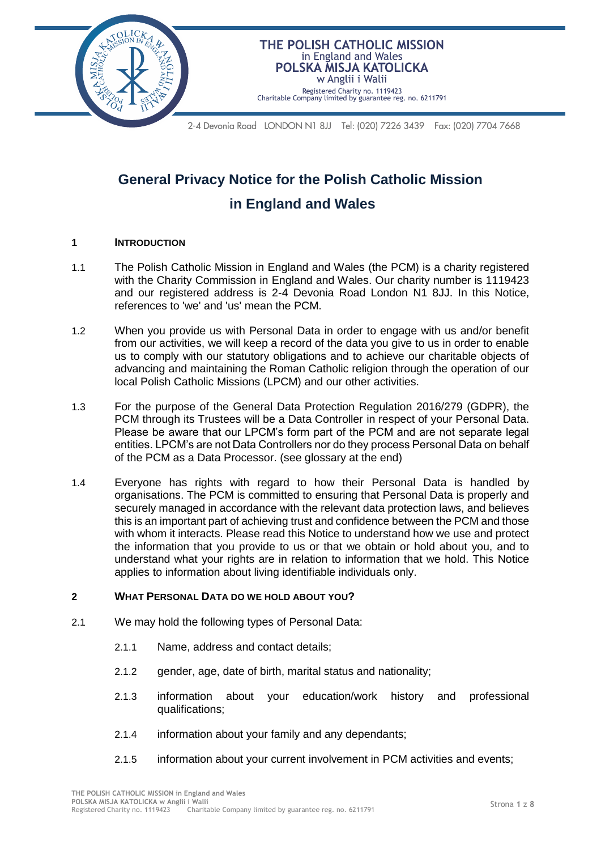THE POLISH CATHOLIC MISSION in England and Wales POLSKA MISJA KATOLICKA w Anglii i Walii

Registered Charity no. 1119423 Charitable Company limited by guarantee reg. no. 6211791

2-4 Devonia Road LONDON N1 8JJ Tel: (020) 7226 3439 Fax: (020) 7704 7668

# **General Privacy Notice for the Polish Catholic Mission in England and Wales**

#### **1 INTRODUCTION**

- 1.1 The Polish Catholic Mission in England and Wales (the PCM) is a charity registered with the Charity Commission in England and Wales. Our charity number is 1119423 and our registered address is 2-4 Devonia Road London N1 8JJ. In this Notice, references to 'we' and 'us' mean the PCM.
- 1.2 When you provide us with Personal Data in order to engage with us and/or benefit from our activities, we will keep a record of the data you give to us in order to enable us to comply with our statutory obligations and to achieve our charitable objects of advancing and maintaining the Roman Catholic religion through the operation of our local Polish Catholic Missions (LPCM) and our other activities.
- 1.3 For the purpose of the General Data Protection Regulation 2016/279 (GDPR), the PCM through its Trustees will be a Data Controller in respect of your Personal Data. Please be aware that our LPCM's form part of the PCM and are not separate legal entities. LPCM's are not Data Controllers nor do they process Personal Data on behalf of the PCM as a Data Processor. (see glossary at the end)
- 1.4 Everyone has rights with regard to how their Personal Data is handled by organisations. The PCM is committed to ensuring that Personal Data is properly and securely managed in accordance with the relevant data protection laws, and believes this is an important part of achieving trust and confidence between the PCM and those with whom it interacts. Please read this Notice to understand how we use and protect the information that you provide to us or that we obtain or hold about you, and to understand what your rights are in relation to information that we hold. This Notice applies to information about living identifiable individuals only.

## **2 WHAT PERSONAL DATA DO WE HOLD ABOUT YOU?**

- 2.1 We may hold the following types of Personal Data:
	- 2.1.1 Name, address and contact details;
	- 2.1.2 gender, age, date of birth, marital status and nationality;
	- 2.1.3 information about your education/work history and professional qualifications;
	- 2.1.4 information about your family and any dependants;
	- 2.1.5 information about your current involvement in PCM activities and events;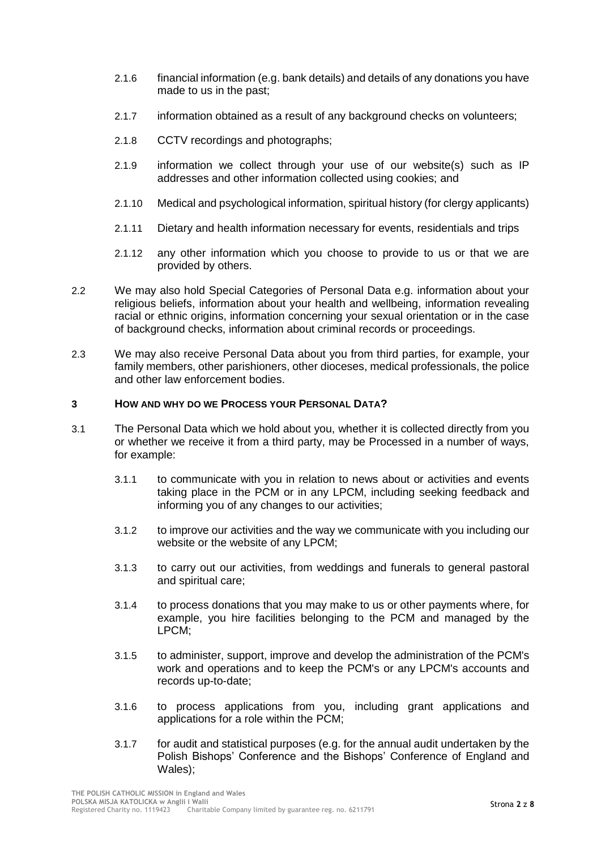- 2.1.6 financial information (e.g. bank details) and details of any donations you have made to us in the past;
- 2.1.7 information obtained as a result of any background checks on volunteers;
- 2.1.8 CCTV recordings and photographs;
- 2.1.9 information we collect through your use of our website(s) such as IP addresses and other information collected using cookies; and
- 2.1.10 Medical and psychological information, spiritual history (for clergy applicants)
- 2.1.11 Dietary and health information necessary for events, residentials and trips
- 2.1.12 any other information which you choose to provide to us or that we are provided by others.
- 2.2 We may also hold Special Categories of Personal Data e.g. information about your religious beliefs, information about your health and wellbeing, information revealing racial or ethnic origins, information concerning your sexual orientation or in the case of background checks, information about criminal records or proceedings.
- 2.3 We may also receive Personal Data about you from third parties, for example, your family members, other parishioners, other dioceses, medical professionals, the police and other law enforcement bodies.

### **3 HOW AND WHY DO WE PROCESS YOUR PERSONAL DATA?**

- 3.1 The Personal Data which we hold about you, whether it is collected directly from you or whether we receive it from a third party, may be Processed in a number of ways, for example:
	- 3.1.1 to communicate with you in relation to news about or activities and events taking place in the PCM or in any LPCM, including seeking feedback and informing you of any changes to our activities;
	- 3.1.2 to improve our activities and the way we communicate with you including our website or the website of any LPCM;
	- 3.1.3 to carry out our activities, from weddings and funerals to general pastoral and spiritual care;
	- 3.1.4 to process donations that you may make to us or other payments where, for example, you hire facilities belonging to the PCM and managed by the LPCM;
	- 3.1.5 to administer, support, improve and develop the administration of the PCM's work and operations and to keep the PCM's or any LPCM's accounts and records up-to-date;
	- 3.1.6 to process applications from you, including grant applications and applications for a role within the PCM;
	- 3.1.7 for audit and statistical purposes (e.g. for the annual audit undertaken by the Polish Bishops' Conference and the Bishops' Conference of England and Wales);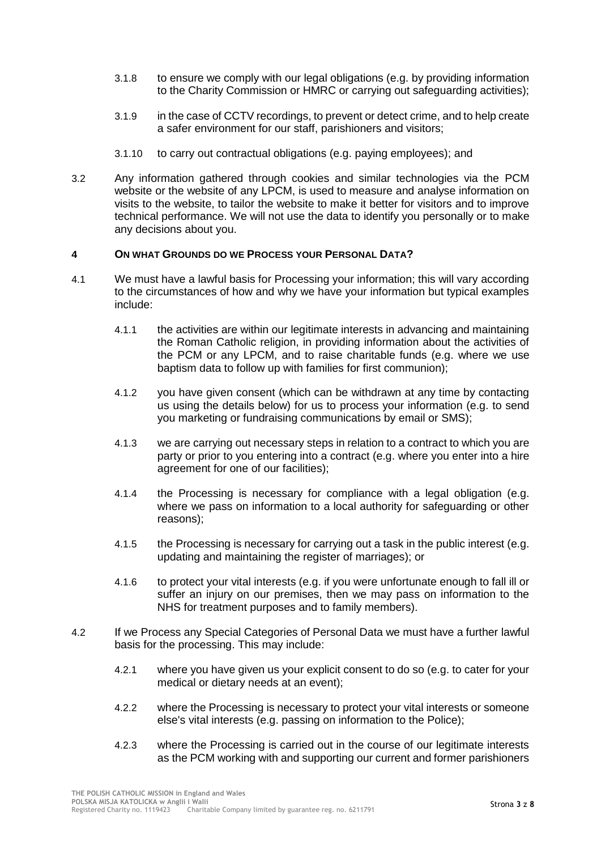- 3.1.8 to ensure we comply with our legal obligations (e.g. by providing information to the Charity Commission or HMRC or carrying out safeguarding activities);
- 3.1.9 in the case of CCTV recordings, to prevent or detect crime, and to help create a safer environment for our staff, parishioners and visitors;
- 3.1.10 to carry out contractual obligations (e.g. paying employees); and
- 3.2 Any information gathered through cookies and similar technologies via the PCM website or the website of any LPCM, is used to measure and analyse information on visits to the website, to tailor the website to make it better for visitors and to improve technical performance. We will not use the data to identify you personally or to make any decisions about you.

## **4 ON WHAT GROUNDS DO WE PROCESS YOUR PERSONAL DATA?**

- 4.1 We must have a lawful basis for Processing your information; this will vary according to the circumstances of how and why we have your information but typical examples include:
	- 4.1.1 the activities are within our legitimate interests in advancing and maintaining the Roman Catholic religion, in providing information about the activities of the PCM or any LPCM, and to raise charitable funds (e.g. where we use baptism data to follow up with families for first communion);
	- 4.1.2 you have given consent (which can be withdrawn at any time by contacting us using the details below) for us to process your information (e.g. to send you marketing or fundraising communications by email or SMS);
	- 4.1.3 we are carrying out necessary steps in relation to a contract to which you are party or prior to you entering into a contract (e.g. where you enter into a hire agreement for one of our facilities);
	- 4.1.4 the Processing is necessary for compliance with a legal obligation (e.g. where we pass on information to a local authority for safeguarding or other reasons);
	- 4.1.5 the Processing is necessary for carrying out a task in the public interest (e.g. updating and maintaining the register of marriages); or
	- 4.1.6 to protect your vital interests (e.g. if you were unfortunate enough to fall ill or suffer an injury on our premises, then we may pass on information to the NHS for treatment purposes and to family members).
- 4.2 If we Process any Special Categories of Personal Data we must have a further lawful basis for the processing. This may include:
	- 4.2.1 where you have given us your explicit consent to do so (e.g. to cater for your medical or dietary needs at an event);
	- 4.2.2 where the Processing is necessary to protect your vital interests or someone else's vital interests (e.g. passing on information to the Police);
	- 4.2.3 where the Processing is carried out in the course of our legitimate interests as the PCM working with and supporting our current and former parishioners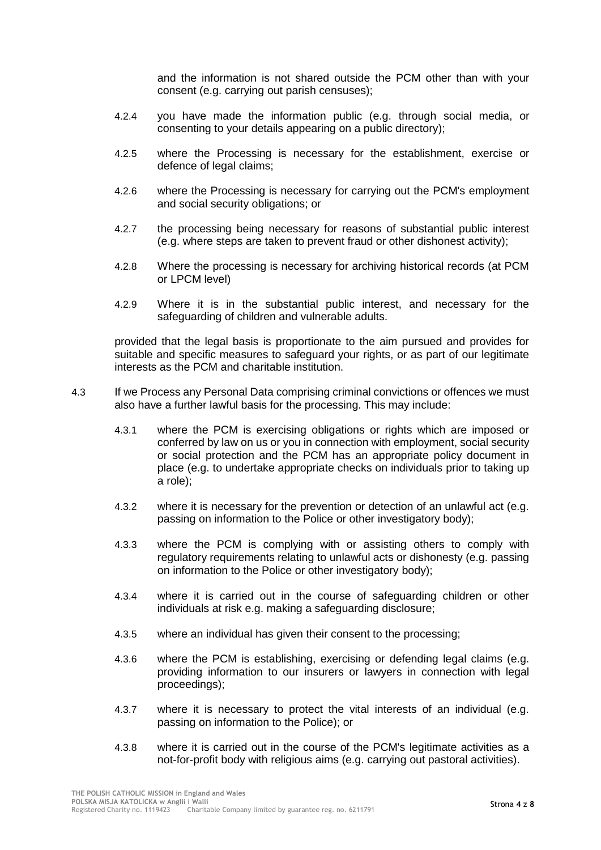and the information is not shared outside the PCM other than with your consent (e.g. carrying out parish censuses);

- 4.2.4 you have made the information public (e.g. through social media, or consenting to your details appearing on a public directory);
- 4.2.5 where the Processing is necessary for the establishment, exercise or defence of legal claims;
- 4.2.6 where the Processing is necessary for carrying out the PCM's employment and social security obligations; or
- 4.2.7 the processing being necessary for reasons of substantial public interest (e.g. where steps are taken to prevent fraud or other dishonest activity);
- 4.2.8 Where the processing is necessary for archiving historical records (at PCM or LPCM level)
- 4.2.9 Where it is in the substantial public interest, and necessary for the safeguarding of children and vulnerable adults.

provided that the legal basis is proportionate to the aim pursued and provides for suitable and specific measures to safeguard your rights, or as part of our legitimate interests as the PCM and charitable institution.

- 4.3 If we Process any Personal Data comprising criminal convictions or offences we must also have a further lawful basis for the processing. This may include:
	- 4.3.1 where the PCM is exercising obligations or rights which are imposed or conferred by law on us or you in connection with employment, social security or social protection and the PCM has an appropriate policy document in place (e.g. to undertake appropriate checks on individuals prior to taking up a role);
	- 4.3.2 where it is necessary for the prevention or detection of an unlawful act (e.g. passing on information to the Police or other investigatory body);
	- 4.3.3 where the PCM is complying with or assisting others to comply with regulatory requirements relating to unlawful acts or dishonesty (e.g. passing on information to the Police or other investigatory body);
	- 4.3.4 where it is carried out in the course of safeguarding children or other individuals at risk e.g. making a safeguarding disclosure;
	- 4.3.5 where an individual has given their consent to the processing;
	- 4.3.6 where the PCM is establishing, exercising or defending legal claims (e.g. providing information to our insurers or lawyers in connection with legal proceedings);
	- 4.3.7 where it is necessary to protect the vital interests of an individual (e.g. passing on information to the Police); or
	- 4.3.8 where it is carried out in the course of the PCM's legitimate activities as a not-for-profit body with religious aims (e.g. carrying out pastoral activities).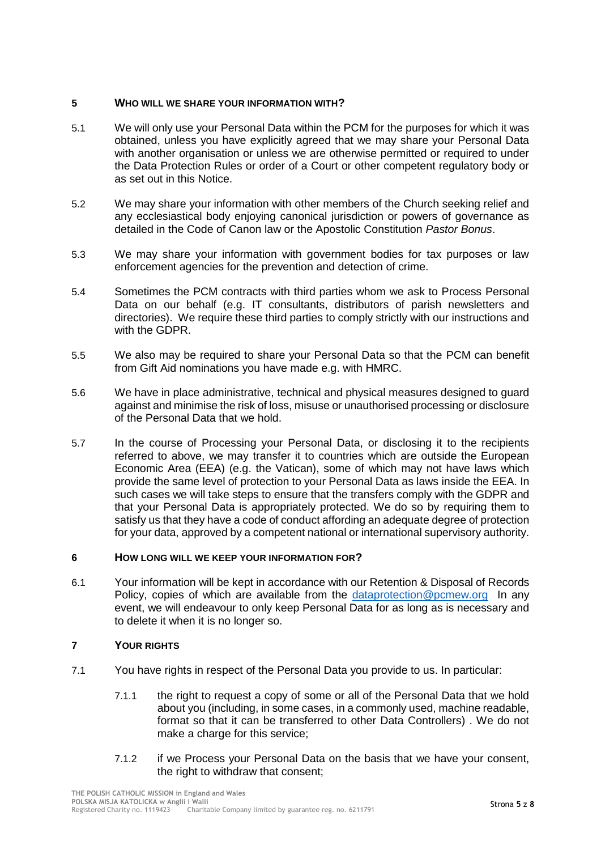#### **5 WHO WILL WE SHARE YOUR INFORMATION WITH?**

- 5.1 We will only use your Personal Data within the PCM for the purposes for which it was obtained, unless you have explicitly agreed that we may share your Personal Data with another organisation or unless we are otherwise permitted or required to under the Data Protection Rules or order of a Court or other competent regulatory body or as set out in this Notice.
- 5.2 We may share your information with other members of the Church seeking relief and any ecclesiastical body enjoying canonical jurisdiction or powers of governance as detailed in the Code of Canon law or the Apostolic Constitution *Pastor Bonus*.
- 5.3 We may share your information with government bodies for tax purposes or law enforcement agencies for the prevention and detection of crime.
- 5.4 Sometimes the PCM contracts with third parties whom we ask to Process Personal Data on our behalf (e.g. IT consultants, distributors of parish newsletters and directories). We require these third parties to comply strictly with our instructions and with the GDPR
- 5.5 We also may be required to share your Personal Data so that the PCM can benefit from Gift Aid nominations you have made e.g. with HMRC.
- 5.6 We have in place administrative, technical and physical measures designed to guard against and minimise the risk of loss, misuse or unauthorised processing or disclosure of the Personal Data that we hold.
- 5.7 In the course of Processing your Personal Data, or disclosing it to the recipients referred to above, we may transfer it to countries which are outside the European Economic Area (EEA) (e.g. the Vatican), some of which may not have laws which provide the same level of protection to your Personal Data as laws inside the EEA. In such cases we will take steps to ensure that the transfers comply with the GDPR and that your Personal Data is appropriately protected. We do so by requiring them to satisfy us that they have a code of conduct affording an adequate degree of protection for your data, approved by a competent national or international supervisory authority.

### **6 HOW LONG WILL WE KEEP YOUR INFORMATION FOR?**

6.1 Your information will be kept in accordance with our Retention & Disposal of Records Policy, copies of which are available from the [dataprotection@pcmew.org](mailto:dataprotection@pcmew.org) In any event, we will endeavour to only keep Personal Data for as long as is necessary and to delete it when it is no longer so.

## **7 YOUR RIGHTS**

- 7.1 You have rights in respect of the Personal Data you provide to us. In particular:
	- 7.1.1 the right to request a copy of some or all of the Personal Data that we hold about you (including, in some cases, in a commonly used, machine readable, format so that it can be transferred to other Data Controllers) . We do not make a charge for this service:
	- 7.1.2 if we Process your Personal Data on the basis that we have your consent, the right to withdraw that consent: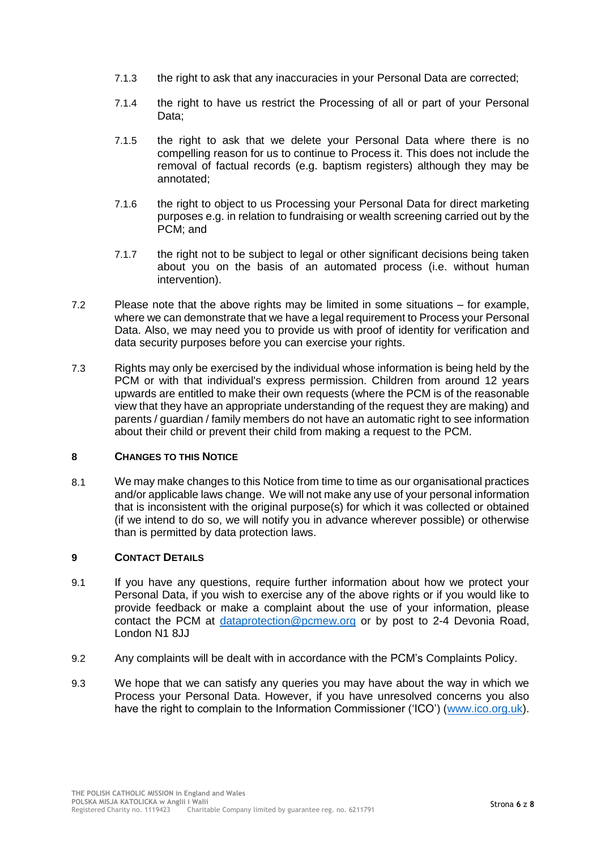- 7.1.3 the right to ask that any inaccuracies in your Personal Data are corrected;
- 7.1.4 the right to have us restrict the Processing of all or part of your Personal Data;
- 7.1.5 the right to ask that we delete your Personal Data where there is no compelling reason for us to continue to Process it. This does not include the removal of factual records (e.g. baptism registers) although they may be annotated;
- 7.1.6 the right to object to us Processing your Personal Data for direct marketing purposes e.g. in relation to fundraising or wealth screening carried out by the PCM; and
- 7.1.7 the right not to be subject to legal or other significant decisions being taken about you on the basis of an automated process (i.e. without human intervention).
- 7.2 Please note that the above rights may be limited in some situations for example, where we can demonstrate that we have a legal requirement to Process your Personal Data. Also, we may need you to provide us with proof of identity for verification and data security purposes before you can exercise your rights.
- 7.3 Rights may only be exercised by the individual whose information is being held by the PCM or with that individual's express permission. Children from around 12 years upwards are entitled to make their own requests (where the PCM is of the reasonable view that they have an appropriate understanding of the request they are making) and parents / guardian / family members do not have an automatic right to see information about their child or prevent their child from making a request to the PCM.

## **8 CHANGES TO THIS NOTICE**

8.1 We may make changes to this Notice from time to time as our organisational practices and/or applicable laws change. We will not make any use of your personal information that is inconsistent with the original purpose(s) for which it was collected or obtained (if we intend to do so, we will notify you in advance wherever possible) or otherwise than is permitted by data protection laws.

## **9 CONTACT DETAILS**

- 9.1 If you have any questions, require further information about how we protect your Personal Data, if you wish to exercise any of the above rights or if you would like to provide feedback or make a complaint about the use of your information, please contact the PCM at [dataprotection@pcmew.org](mailto:dataprotection@pcmew.org) or by post to 2-4 Devonia Road, London N1 8JJ
- 9.2 Any complaints will be dealt with in accordance with the PCM's Complaints Policy.
- 9.3 We hope that we can satisfy any queries you may have about the way in which we Process your Personal Data. However, if you have unresolved concerns you also have the right to complain to the Information Commissioner ('ICO') [\(www.ico.org.uk\)](http://www.ico.org.uk/).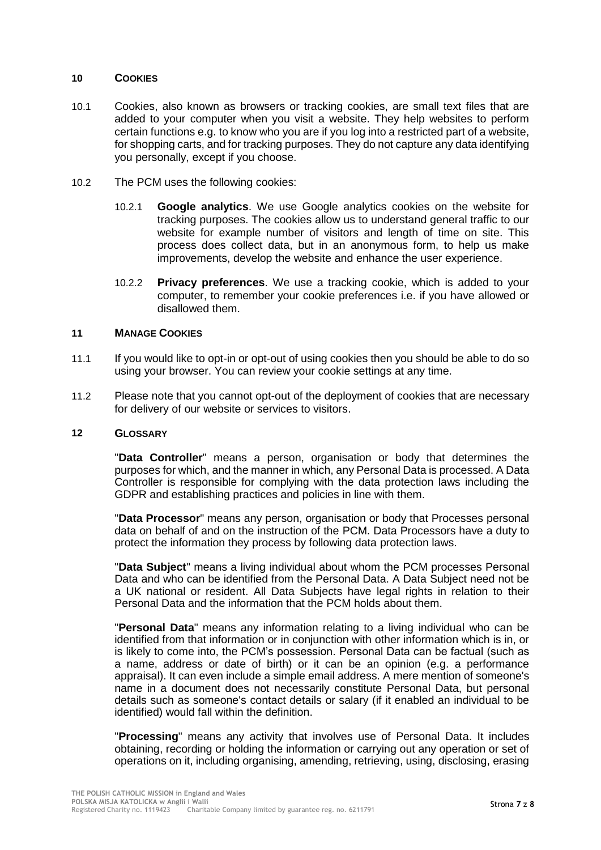#### **10 COOKIES**

- 10.1 Cookies, also known as browsers or tracking cookies, are small text files that are added to your computer when you visit a website. They help websites to perform certain functions e.g. to know who you are if you log into a restricted part of a website, for shopping carts, and for tracking purposes. They do not capture any data identifying you personally, except if you choose.
- 10.2 The PCM uses the following cookies:
	- 10.2.1 **Google analytics**. We use Google analytics cookies on the website for tracking purposes. The cookies allow us to understand general traffic to our website for example number of visitors and length of time on site. This process does collect data, but in an anonymous form, to help us make improvements, develop the website and enhance the user experience.
	- 10.2.2 **Privacy preferences**. We use a tracking cookie, which is added to your computer, to remember your cookie preferences i.e. if you have allowed or disallowed them.

#### **11 MANAGE COOKIES**

- 11.1 If you would like to opt-in or opt-out of using cookies then you should be able to do so using your browser. You can review your cookie settings at any time.
- 11.2 Please note that you cannot opt-out of the deployment of cookies that are necessary for delivery of our website or services to visitors.

#### **12 GLOSSARY**

"**Data Controller**" means a person, organisation or body that determines the purposes for which, and the manner in which, any Personal Data is processed. A Data Controller is responsible for complying with the data protection laws including the GDPR and establishing practices and policies in line with them.

"**Data Processor**" means any person, organisation or body that Processes personal data on behalf of and on the instruction of the PCM. Data Processors have a duty to protect the information they process by following data protection laws.

"**Data Subject**" means a living individual about whom the PCM processes Personal Data and who can be identified from the Personal Data. A Data Subject need not be a UK national or resident. All Data Subjects have legal rights in relation to their Personal Data and the information that the PCM holds about them.

"**Personal Data**" means any information relating to a living individual who can be identified from that information or in conjunction with other information which is in, or is likely to come into, the PCM's possession. Personal Data can be factual (such as a name, address or date of birth) or it can be an opinion (e.g. a performance appraisal). It can even include a simple email address. A mere mention of someone's name in a document does not necessarily constitute Personal Data, but personal details such as someone's contact details or salary (if it enabled an individual to be identified) would fall within the definition.

"**Processing**" means any activity that involves use of Personal Data. It includes obtaining, recording or holding the information or carrying out any operation or set of operations on it, including organising, amending, retrieving, using, disclosing, erasing